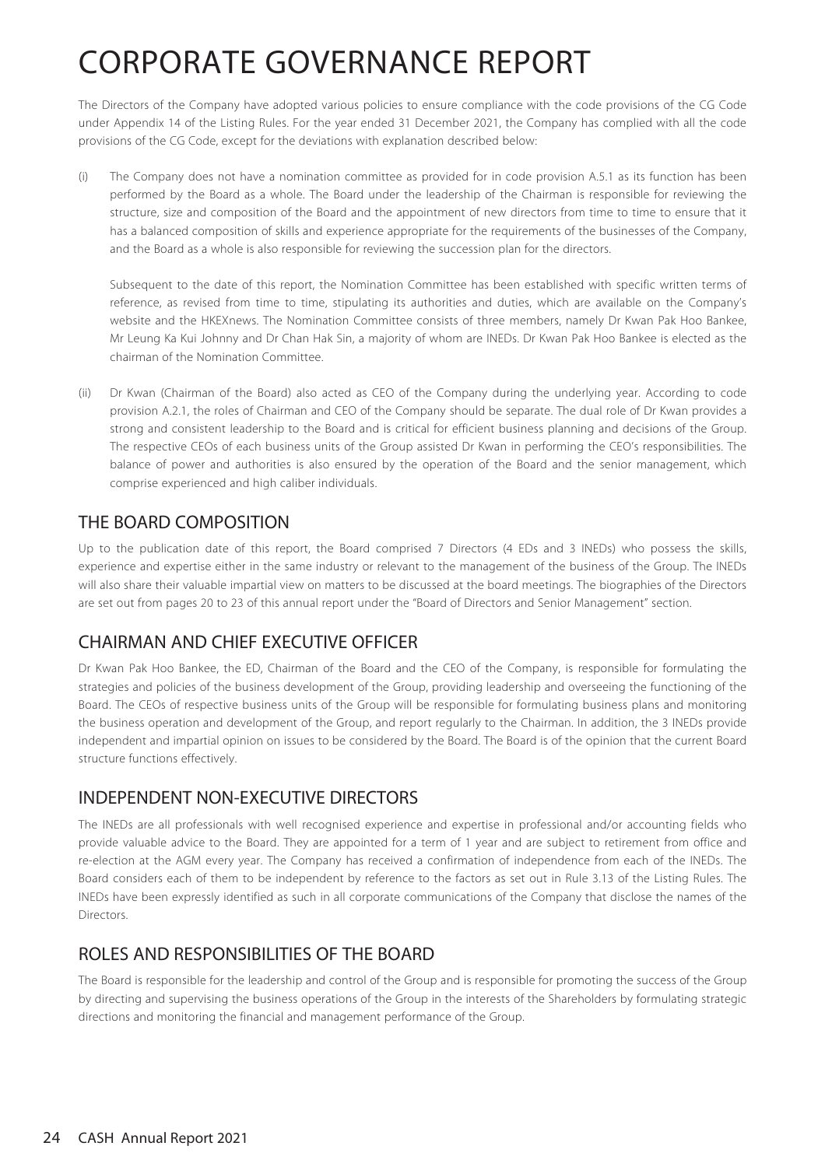The Directors of the Company have adopted various policies to ensure compliance with the code provisions of the CG Code under Appendix 14 of the Listing Rules. For the year ended 31 December 2021, the Company has complied with all the code provisions of the CG Code, except for the deviations with explanation described below:

(i) The Company does not have a nomination committee as provided for in code provision A.5.1 as its function has been performed by the Board as a whole. The Board under the leadership of the Chairman is responsible for reviewing the structure, size and composition of the Board and the appointment of new directors from time to time to ensure that it has a balanced composition of skills and experience appropriate for the requirements of the businesses of the Company, and the Board as a whole is also responsible for reviewing the succession plan for the directors.

Subsequent to the date of this report, the Nomination Committee has been established with specific written terms of reference, as revised from time to time, stipulating its authorities and duties, which are available on the Company's website and the HKEXnews. The Nomination Committee consists of three members, namely Dr Kwan Pak Hoo Bankee, Mr Leung Ka Kui Johnny and Dr Chan Hak Sin, a majority of whom are INEDs. Dr Kwan Pak Hoo Bankee is elected as the chairman of the Nomination Committee.

(ii) Dr Kwan (Chairman of the Board) also acted as CEO of the Company during the underlying year. According to code provision A.2.1, the roles of Chairman and CEO of the Company should be separate. The dual role of Dr Kwan provides a strong and consistent leadership to the Board and is critical for efficient business planning and decisions of the Group. The respective CEOs of each business units of the Group assisted Dr Kwan in performing the CEO's responsibilities. The balance of power and authorities is also ensured by the operation of the Board and the senior management, which comprise experienced and high caliber individuals.

## THE BOARD COMPOSITION

Up to the publication date of this report, the Board comprised 7 Directors (4 EDs and 3 INEDs) who possess the skills, experience and expertise either in the same industry or relevant to the management of the business of the Group. The INEDs will also share their valuable impartial view on matters to be discussed at the board meetings. The biographies of the Directors are set out from pages 20 to 23 of this annual report under the "Board of Directors and Senior Management" section.

## CHAIRMAN AND CHIEF EXECUTIVE OFFICER

Dr Kwan Pak Hoo Bankee, the ED, Chairman of the Board and the CEO of the Company, is responsible for formulating the strategies and policies of the business development of the Group, providing leadership and overseeing the functioning of the Board. The CEOs of respective business units of the Group will be responsible for formulating business plans and monitoring the business operation and development of the Group, and report regularly to the Chairman. In addition, the 3 INEDs provide independent and impartial opinion on issues to be considered by the Board. The Board is of the opinion that the current Board structure functions effectively.

## INDEPENDENT NON-EXECUTIVE DIRECTORS

The INEDs are all professionals with well recognised experience and expertise in professional and/or accounting fields who provide valuable advice to the Board. They are appointed for a term of 1 year and are subject to retirement from office and re-election at the AGM every year. The Company has received a confirmation of independence from each of the INEDs. The Board considers each of them to be independent by reference to the factors as set out in Rule 3.13 of the Listing Rules. The INEDs have been expressly identified as such in all corporate communications of the Company that disclose the names of the **Directors** 

## ROLES AND RESPONSIBILITIES OF THE BOARD

The Board is responsible for the leadership and control of the Group and is responsible for promoting the success of the Group by directing and supervising the business operations of the Group in the interests of the Shareholders by formulating strategic directions and monitoring the financial and management performance of the Group.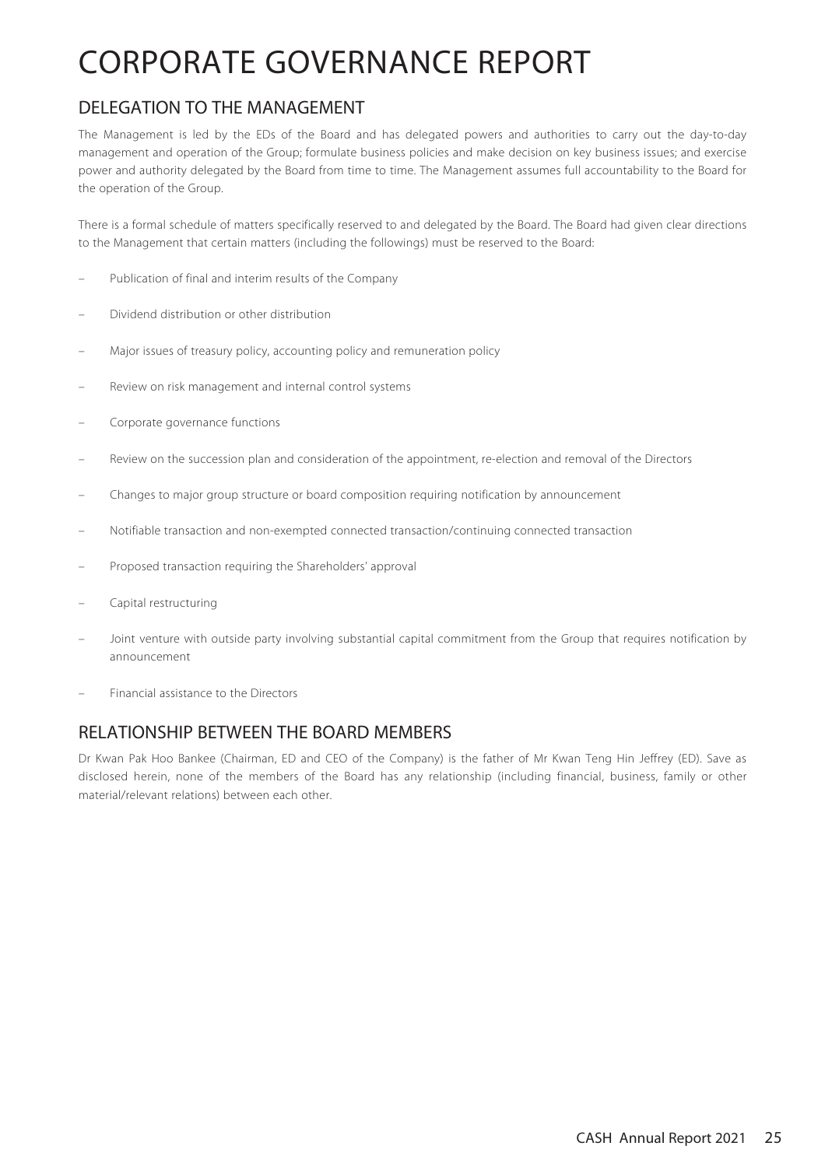## DELEGATION TO THE MANAGEMENT

The Management is led by the EDs of the Board and has delegated powers and authorities to carry out the day-to-day management and operation of the Group; formulate business policies and make decision on key business issues; and exercise power and authority delegated by the Board from time to time. The Management assumes full accountability to the Board for the operation of the Group.

There is a formal schedule of matters specifically reserved to and delegated by the Board. The Board had given clear directions to the Management that certain matters (including the followings) must be reserved to the Board:

- Publication of final and interim results of the Company
- Dividend distribution or other distribution
- Major issues of treasury policy, accounting policy and remuneration policy
- Review on risk management and internal control systems
- Corporate governance functions
- Review on the succession plan and consideration of the appointment, re-election and removal of the Directors
- Changes to major group structure or board composition requiring notification by announcement
- Notifiable transaction and non-exempted connected transaction/continuing connected transaction
- Proposed transaction requiring the Shareholders' approval
- Capital restructuring
- Joint venture with outside party involving substantial capital commitment from the Group that requires notification by announcement
- Financial assistance to the Directors

## RELATIONSHIP BETWEEN THE BOARD MEMBERS

Dr Kwan Pak Hoo Bankee (Chairman, ED and CEO of the Company) is the father of Mr Kwan Teng Hin Jeffrey (ED). Save as disclosed herein, none of the members of the Board has any relationship (including financial, business, family or other material/relevant relations) between each other.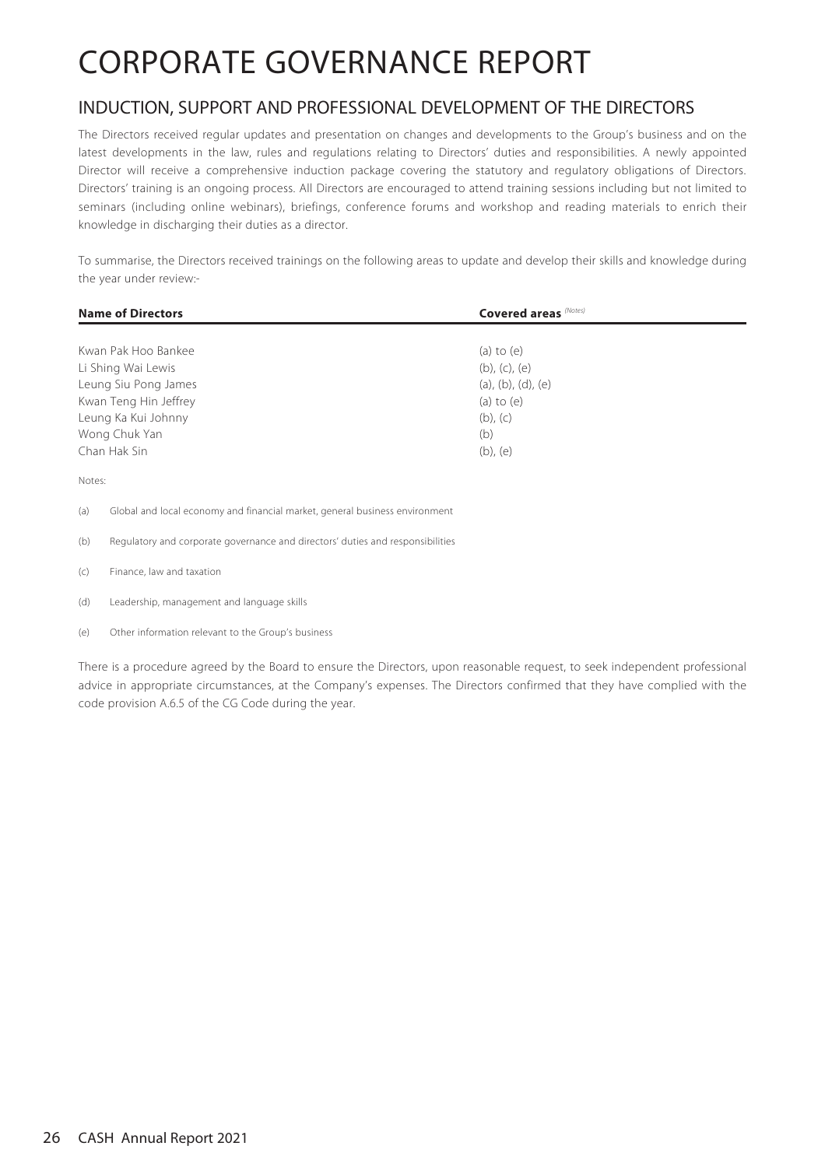## INDUCTION, SUPPORT AND PROFESSIONAL DEVELOPMENT OF THE DIRECTORS

The Directors received regular updates and presentation on changes and developments to the Group's business and on the latest developments in the law, rules and regulations relating to Directors' duties and responsibilities. A newly appointed Director will receive a comprehensive induction package covering the statutory and regulatory obligations of Directors. Directors' training is an ongoing process. All Directors are encouraged to attend training sessions including but not limited to seminars (including online webinars), briefings, conference forums and workshop and reading materials to enrich their knowledge in discharging their duties as a director.

To summarise, the Directors received trainings on the following areas to update and develop their skills and knowledge during the year under review:-

| <b>Name of Directors</b> | <b>Covered areas</b> (Notes)  |  |  |
|--------------------------|-------------------------------|--|--|
|                          |                               |  |  |
| Kwan Pak Hoo Bankee      | (a) to $(e)$                  |  |  |
| Li Shing Wai Lewis       | (b), (c), (e)                 |  |  |
| Leung Siu Pong James     | $(a)$ , $(b)$ , $(d)$ , $(e)$ |  |  |
| Kwan Teng Hin Jeffrey    | (a) to $(e)$                  |  |  |
| Leung Ka Kui Johnny      | $(b)$ , $(c)$                 |  |  |
| Wong Chuk Yan            | (b)                           |  |  |
| Chan Hak Sin             | $(b)$ , $(e)$                 |  |  |
| Notes:                   |                               |  |  |

(a) Global and local economy and financial market, general business environment

- (b) Regulatory and corporate governance and directors' duties and responsibilities
- (c) Finance, law and taxation

(d) Leadership, management and language skills

(e) Other information relevant to the Group's business

There is a procedure agreed by the Board to ensure the Directors, upon reasonable request, to seek independent professional advice in appropriate circumstances, at the Company's expenses. The Directors confirmed that they have complied with the code provision A.6.5 of the CG Code during the year.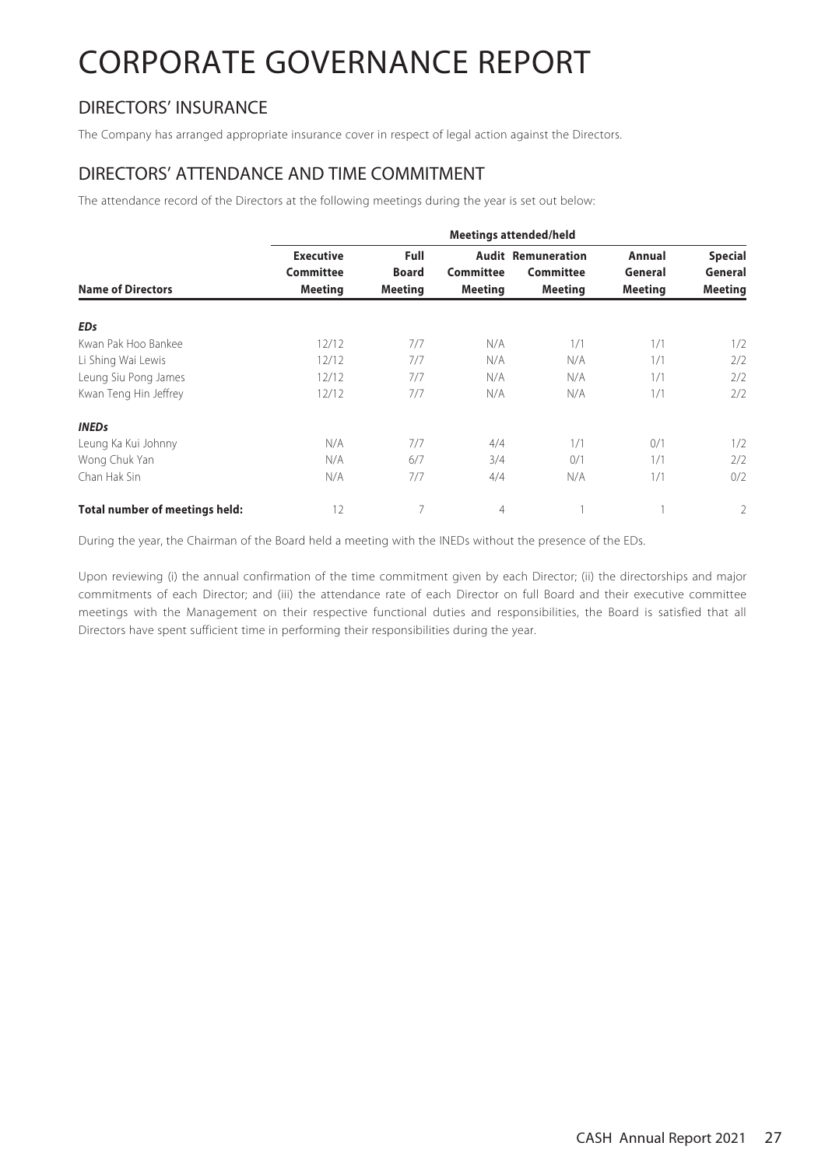## DIRECTORS' INSURANCE

The Company has arranged appropriate insurance cover in respect of legal action against the Directors.

### DIRECTORS' ATTENDANCE AND TIME COMMITMENT

The attendance record of the Directors at the following meetings during the year is set out below:

|                                       | <b>Meetings attended/held</b>                          |                                               |                                    |                                                          |                                     |                                             |  |
|---------------------------------------|--------------------------------------------------------|-----------------------------------------------|------------------------------------|----------------------------------------------------------|-------------------------------------|---------------------------------------------|--|
| <b>Name of Directors</b>              | <b>Executive</b><br><b>Committee</b><br><b>Meeting</b> | <b>Full</b><br><b>Board</b><br><b>Meeting</b> | <b>Committee</b><br><b>Meeting</b> | <b>Audit Remuneration</b><br>Committee<br><b>Meeting</b> | Annual<br>General<br><b>Meeting</b> | <b>Special</b><br>General<br><b>Meeting</b> |  |
| <b>EDs</b>                            |                                                        |                                               |                                    |                                                          |                                     |                                             |  |
| Kwan Pak Hoo Bankee                   | 12/12                                                  | 7/7                                           | N/A                                | 1/1                                                      | 1/1                                 | 1/2                                         |  |
| Li Shing Wai Lewis                    | 12/12                                                  | 7/7                                           | N/A                                | N/A                                                      | 1/1                                 | 2/2                                         |  |
| Leung Siu Pong James                  | 12/12                                                  | 7/7                                           | N/A                                | N/A                                                      | 1/1                                 | 2/2                                         |  |
| Kwan Teng Hin Jeffrey                 | 12/12                                                  | 7/7                                           | N/A                                | N/A                                                      | 1/1                                 | 2/2                                         |  |
| <b>INEDs</b>                          |                                                        |                                               |                                    |                                                          |                                     |                                             |  |
| Leung Ka Kui Johnny                   | N/A                                                    | 7/7                                           | 4/4                                | 1/1                                                      | 0/1                                 | 1/2                                         |  |
| Wong Chuk Yan                         | N/A                                                    | 6/7                                           | 3/4                                | 0/1                                                      | 1/1                                 | 2/2                                         |  |
| Chan Hak Sin                          | N/A                                                    | 7/7                                           | 4/4                                | N/A                                                      | 1/1                                 | 0/2                                         |  |
| <b>Total number of meetings held:</b> | 12                                                     | 7                                             | 4                                  |                                                          |                                     | 2                                           |  |

During the year, the Chairman of the Board held a meeting with the INEDs without the presence of the EDs.

Upon reviewing (i) the annual confirmation of the time commitment given by each Director; (ii) the directorships and major commitments of each Director; and (iii) the attendance rate of each Director on full Board and their executive committee meetings with the Management on their respective functional duties and responsibilities, the Board is satisfied that all Directors have spent sufficient time in performing their responsibilities during the year.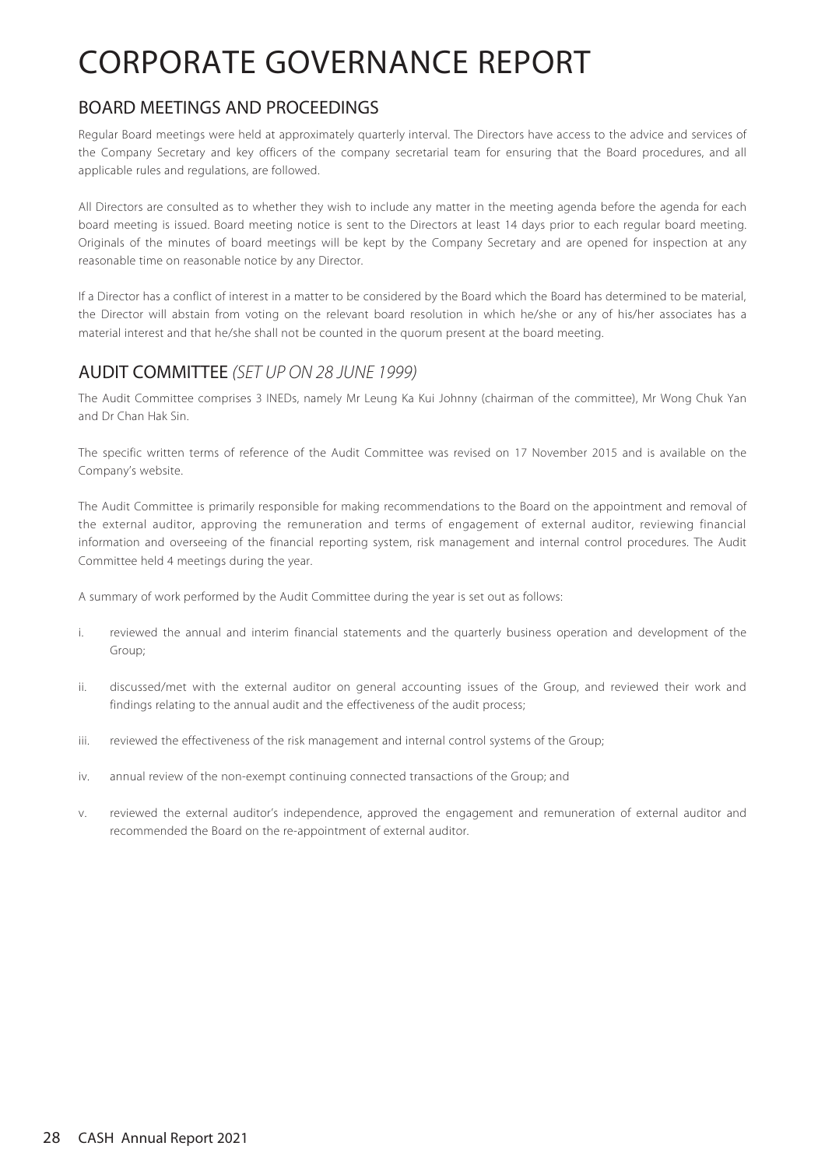### BOARD MEETINGS AND PROCEEDINGS

Regular Board meetings were held at approximately quarterly interval. The Directors have access to the advice and services of the Company Secretary and key officers of the company secretarial team for ensuring that the Board procedures, and all applicable rules and regulations, are followed.

All Directors are consulted as to whether they wish to include any matter in the meeting agenda before the agenda for each board meeting is issued. Board meeting notice is sent to the Directors at least 14 days prior to each regular board meeting. Originals of the minutes of board meetings will be kept by the Company Secretary and are opened for inspection at any reasonable time on reasonable notice by any Director.

If a Director has a conflict of interest in a matter to be considered by the Board which the Board has determined to be material, the Director will abstain from voting on the relevant board resolution in which he/she or any of his/her associates has a material interest and that he/she shall not be counted in the quorum present at the board meeting.

## AUDIT COMMITTEE (SET UP ON 28 JUNE 1999)

The Audit Committee comprises 3 INEDs, namely Mr Leung Ka Kui Johnny (chairman of the committee), Mr Wong Chuk Yan and Dr Chan Hak Sin.

The specific written terms of reference of the Audit Committee was revised on 17 November 2015 and is available on the Company's website.

The Audit Committee is primarily responsible for making recommendations to the Board on the appointment and removal of the external auditor, approving the remuneration and terms of engagement of external auditor, reviewing financial information and overseeing of the financial reporting system, risk management and internal control procedures. The Audit Committee held 4 meetings during the year.

A summary of work performed by the Audit Committee during the year is set out as follows:

- i. reviewed the annual and interim financial statements and the quarterly business operation and development of the Group;
- ii. discussed/met with the external auditor on general accounting issues of the Group, and reviewed their work and findings relating to the annual audit and the effectiveness of the audit process;
- iii. reviewed the effectiveness of the risk management and internal control systems of the Group;
- iv. annual review of the non-exempt continuing connected transactions of the Group; and
- v. reviewed the external auditor's independence, approved the engagement and remuneration of external auditor and recommended the Board on the re-appointment of external auditor.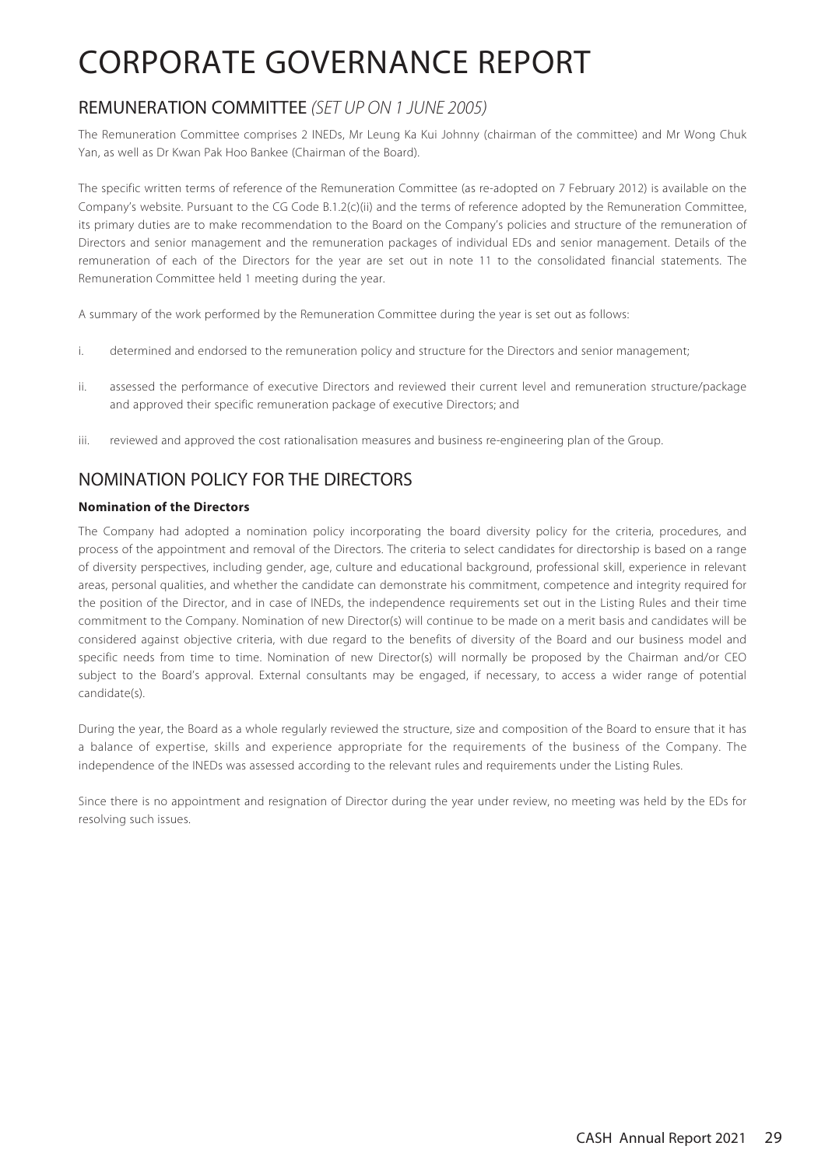## REMUNERATION COMMITTEE (SET UP ON 1 JUNE 2005)

The Remuneration Committee comprises 2 INEDs, Mr Leung Ka Kui Johnny (chairman of the committee) and Mr Wong Chuk Yan, as well as Dr Kwan Pak Hoo Bankee (Chairman of the Board).

The specific written terms of reference of the Remuneration Committee (as re-adopted on 7 February 2012) is available on the Company's website. Pursuant to the CG Code B.1.2(c)(ii) and the terms of reference adopted by the Remuneration Committee, its primary duties are to make recommendation to the Board on the Company's policies and structure of the remuneration of Directors and senior management and the remuneration packages of individual EDs and senior management. Details of the remuneration of each of the Directors for the year are set out in note 11 to the consolidated financial statements. The Remuneration Committee held 1 meeting during the year.

A summary of the work performed by the Remuneration Committee during the year is set out as follows:

- i. determined and endorsed to the remuneration policy and structure for the Directors and senior management;
- ii. assessed the performance of executive Directors and reviewed their current level and remuneration structure/package and approved their specific remuneration package of executive Directors; and
- iii. reviewed and approved the cost rationalisation measures and business re-engineering plan of the Group.

## NOMINATION POLICY FOR THE DIRECTORS

### **Nomination of the Directors**

The Company had adopted a nomination policy incorporating the board diversity policy for the criteria, procedures, and process of the appointment and removal of the Directors. The criteria to select candidates for directorship is based on a range of diversity perspectives, including gender, age, culture and educational background, professional skill, experience in relevant areas, personal qualities, and whether the candidate can demonstrate his commitment, competence and integrity required for the position of the Director, and in case of INEDs, the independence requirements set out in the Listing Rules and their time commitment to the Company. Nomination of new Director(s) will continue to be made on a merit basis and candidates will be considered against objective criteria, with due regard to the benefits of diversity of the Board and our business model and specific needs from time to time. Nomination of new Director(s) will normally be proposed by the Chairman and/or CEO subject to the Board's approval. External consultants may be engaged, if necessary, to access a wider range of potential candidate(s).

During the year, the Board as a whole regularly reviewed the structure, size and composition of the Board to ensure that it has a balance of expertise, skills and experience appropriate for the requirements of the business of the Company. The independence of the INEDs was assessed according to the relevant rules and requirements under the Listing Rules.

Since there is no appointment and resignation of Director during the year under review, no meeting was held by the EDs for resolving such issues.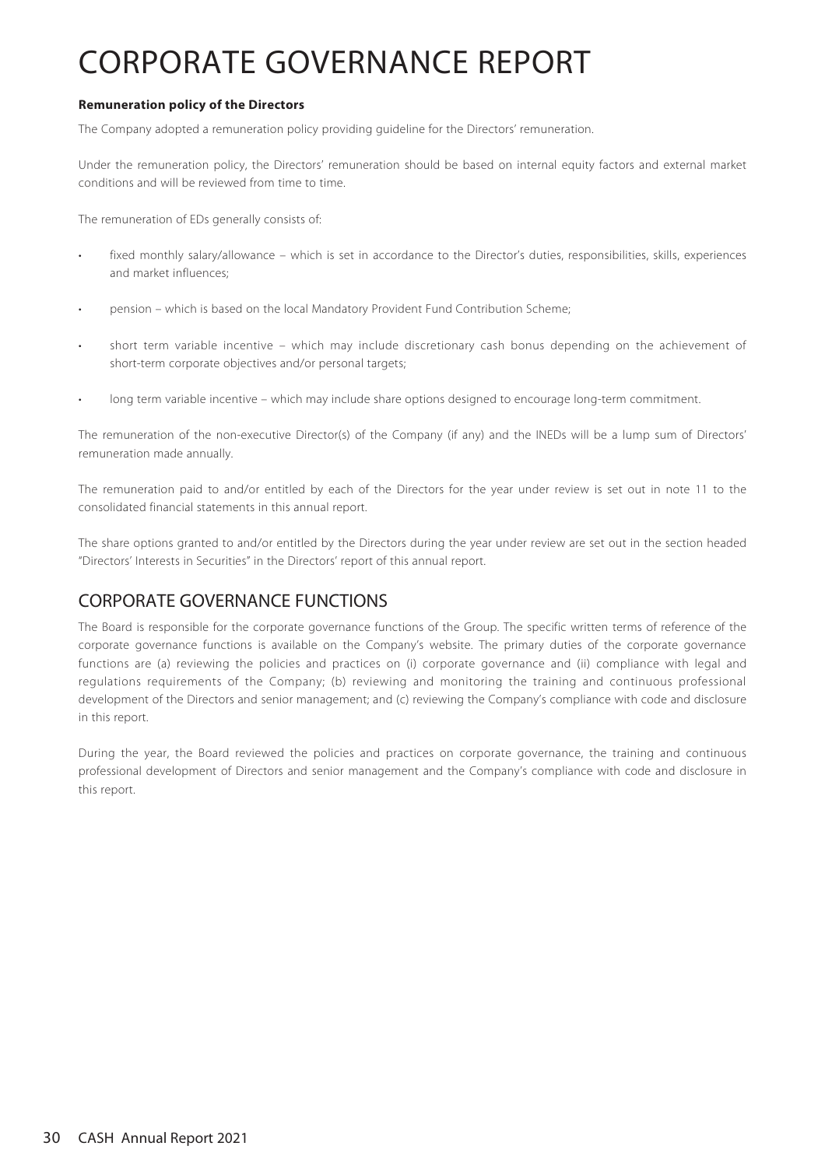### **Remuneration policy of the Directors**

The Company adopted a remuneration policy providing guideline for the Directors' remuneration.

Under the remuneration policy, the Directors' remuneration should be based on internal equity factors and external market conditions and will be reviewed from time to time.

The remuneration of EDs generally consists of:

- fixed monthly salary/allowance which is set in accordance to the Director's duties, responsibilities, skills, experiences and market influences;
- pension which is based on the local Mandatory Provident Fund Contribution Scheme;
- short term variable incentive which may include discretionary cash bonus depending on the achievement of short-term corporate objectives and/or personal targets;
- long term variable incentive which may include share options designed to encourage long-term commitment.

The remuneration of the non-executive Director(s) of the Company (if any) and the INEDs will be a lump sum of Directors' remuneration made annually.

The remuneration paid to and/or entitled by each of the Directors for the year under review is set out in note 11 to the consolidated financial statements in this annual report.

The share options granted to and/or entitled by the Directors during the year under review are set out in the section headed "Directors' Interests in Securities" in the Directors' report of this annual report.

### CORPORATE GOVERNANCE FUNCTIONS

The Board is responsible for the corporate governance functions of the Group. The specific written terms of reference of the corporate governance functions is available on the Company's website. The primary duties of the corporate governance functions are (a) reviewing the policies and practices on (i) corporate governance and (ii) compliance with legal and regulations requirements of the Company; (b) reviewing and monitoring the training and continuous professional development of the Directors and senior management; and (c) reviewing the Company's compliance with code and disclosure in this report.

During the year, the Board reviewed the policies and practices on corporate governance, the training and continuous professional development of Directors and senior management and the Company's compliance with code and disclosure in this report.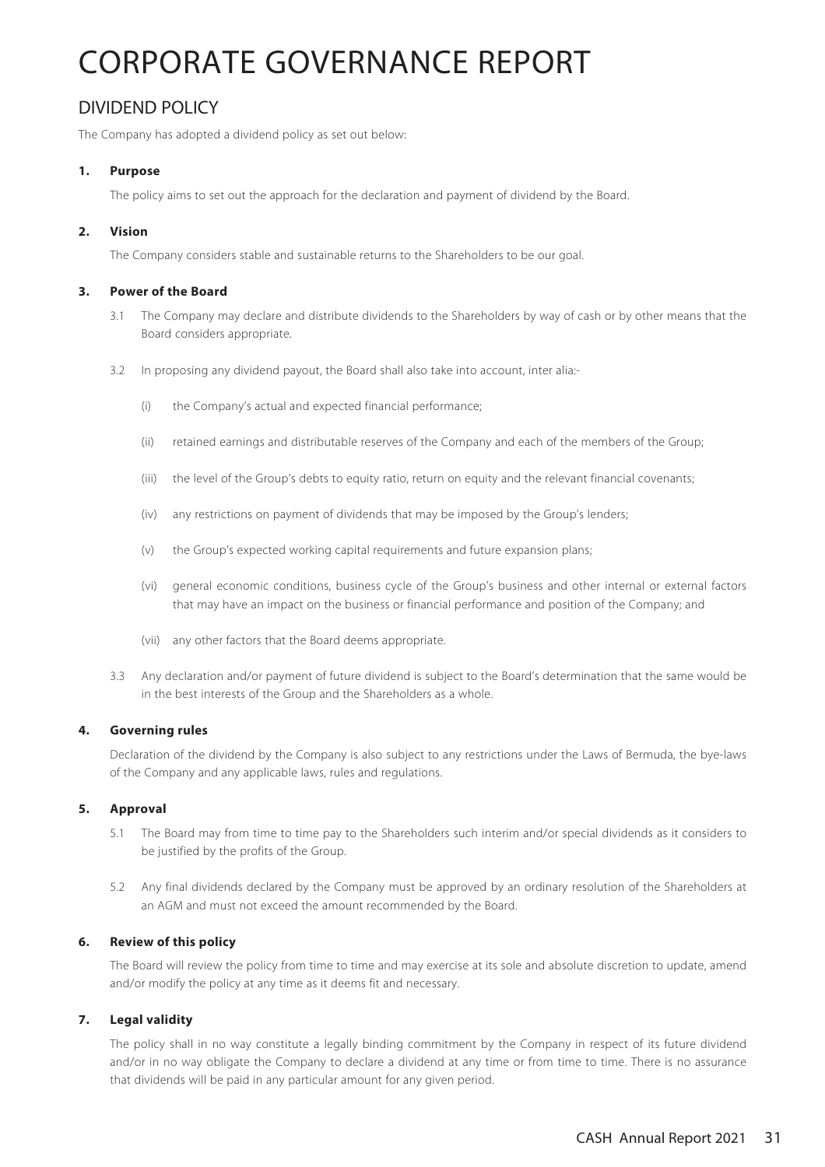## DIVIDEND POLICY

The Company has adopted a dividend policy as set out below:

### **1. Purpose**

The policy aims to set out the approach for the declaration and payment of dividend by the Board.

### **2. Vision**

The Company considers stable and sustainable returns to the Shareholders to be our goal.

#### **3. Power of the Board**

- 3.1 The Company may declare and distribute dividends to the Shareholders by way of cash or by other means that the Board considers appropriate.
- 3.2 In proposing any dividend payout, the Board shall also take into account, inter alia:-
	- (i) the Company's actual and expected financial performance;
	- (ii) retained earnings and distributable reserves of the Company and each of the members of the Group;
	- (iii) the level of the Group's debts to equity ratio, return on equity and the relevant financial covenants;
	- (iv) any restrictions on payment of dividends that may be imposed by the Group's lenders;
	- (v) the Group's expected working capital requirements and future expansion plans;
	- (vi) general economic conditions, business cycle of the Group's business and other internal or external factors that may have an impact on the business or financial performance and position of the Company; and
	- (vii) any other factors that the Board deems appropriate.
- 3.3 Any declaration and/or payment of future dividend is subject to the Board's determination that the same would be in the best interests of the Group and the Shareholders as a whole.

#### **4. Governing rules**

Declaration of the dividend by the Company is also subject to any restrictions under the Laws of Bermuda, the bye-laws of the Company and any applicable laws, rules and regulations.

#### **5. Approval**

- 5.1 The Board may from time to time pay to the Shareholders such interim and/or special dividends as it considers to be justified by the profits of the Group.
- 5.2 Any final dividends declared by the Company must be approved by an ordinary resolution of the Shareholders at an AGM and must not exceed the amount recommended by the Board.

#### **6. Review of this policy**

The Board will review the policy from time to time and may exercise at its sole and absolute discretion to update, amend and/or modify the policy at any time as it deems fit and necessary.

### **7. Legal validity**

The policy shall in no way constitute a legally binding commitment by the Company in respect of its future dividend and/or in no way obligate the Company to declare a dividend at any time or from time to time. There is no assurance that dividends will be paid in any particular amount for any given period.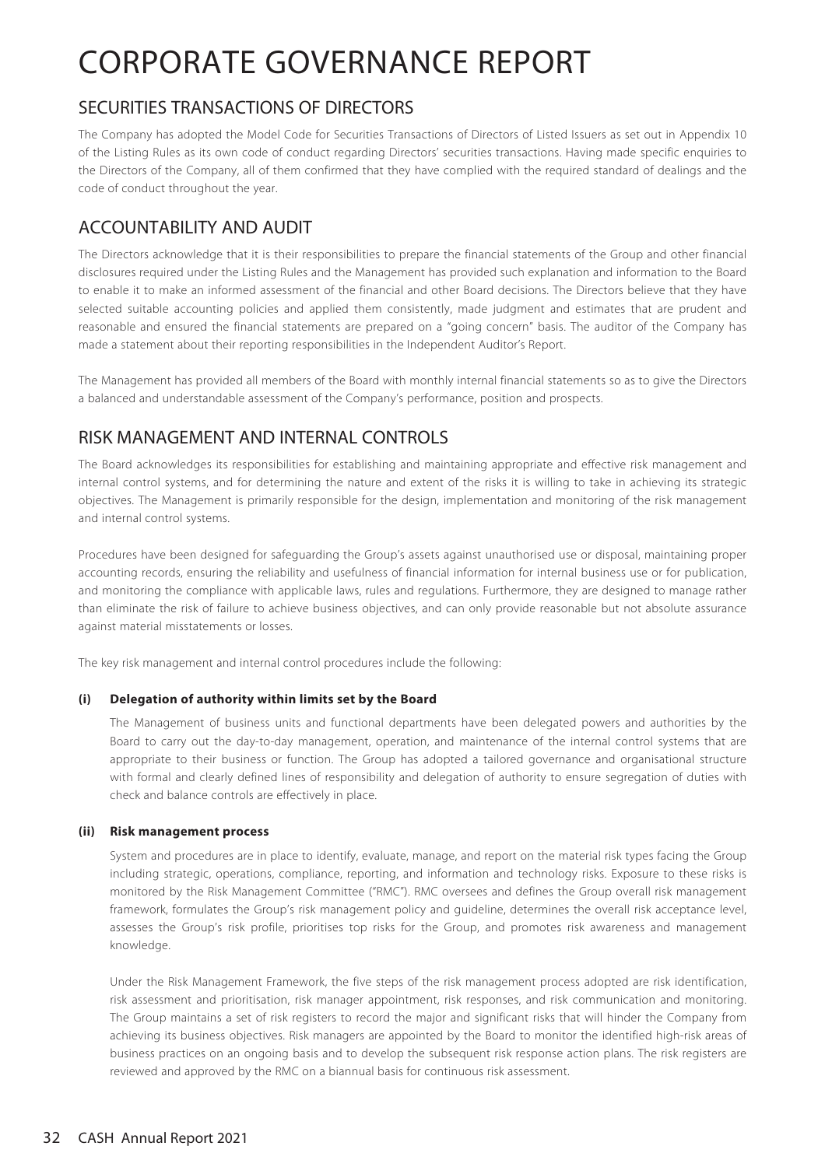## SECURITIES TRANSACTIONS OF DIRECTORS

The Company has adopted the Model Code for Securities Transactions of Directors of Listed Issuers as set out in Appendix 10 of the Listing Rules as its own code of conduct regarding Directors' securities transactions. Having made specific enquiries to the Directors of the Company, all of them confirmed that they have complied with the required standard of dealings and the code of conduct throughout the year.

## ACCOUNTABILITY AND AUDIT

The Directors acknowledge that it is their responsibilities to prepare the financial statements of the Group and other financial disclosures required under the Listing Rules and the Management has provided such explanation and information to the Board to enable it to make an informed assessment of the financial and other Board decisions. The Directors believe that they have selected suitable accounting policies and applied them consistently, made judgment and estimates that are prudent and reasonable and ensured the financial statements are prepared on a "going concern" basis. The auditor of the Company has made a statement about their reporting responsibilities in the Independent Auditor's Report.

The Management has provided all members of the Board with monthly internal financial statements so as to give the Directors a balanced and understandable assessment of the Company's performance, position and prospects.

## RISK MANAGEMENT AND INTERNAL CONTROLS

The Board acknowledges its responsibilities for establishing and maintaining appropriate and effective risk management and internal control systems, and for determining the nature and extent of the risks it is willing to take in achieving its strategic objectives. The Management is primarily responsible for the design, implementation and monitoring of the risk management and internal control systems.

Procedures have been designed for safeguarding the Group's assets against unauthorised use or disposal, maintaining proper accounting records, ensuring the reliability and usefulness of financial information for internal business use or for publication, and monitoring the compliance with applicable laws, rules and regulations. Furthermore, they are designed to manage rather than eliminate the risk of failure to achieve business objectives, and can only provide reasonable but not absolute assurance against material misstatements or losses.

The key risk management and internal control procedures include the following:

### **(i) Delegation of authority within limits set by the Board**

The Management of business units and functional departments have been delegated powers and authorities by the Board to carry out the day-to-day management, operation, and maintenance of the internal control systems that are appropriate to their business or function. The Group has adopted a tailored governance and organisational structure with formal and clearly defined lines of responsibility and delegation of authority to ensure segregation of duties with check and balance controls are effectively in place.

### **(ii) Risk management process**

System and procedures are in place to identify, evaluate, manage, and report on the material risk types facing the Group including strategic, operations, compliance, reporting, and information and technology risks. Exposure to these risks is monitored by the Risk Management Committee ("RMC"). RMC oversees and defines the Group overall risk management framework, formulates the Group's risk management policy and guideline, determines the overall risk acceptance level, assesses the Group's risk profile, prioritises top risks for the Group, and promotes risk awareness and management knowledge.

Under the Risk Management Framework, the five steps of the risk management process adopted are risk identification, risk assessment and prioritisation, risk manager appointment, risk responses, and risk communication and monitoring. The Group maintains a set of risk registers to record the major and significant risks that will hinder the Company from achieving its business objectives. Risk managers are appointed by the Board to monitor the identified high-risk areas of business practices on an ongoing basis and to develop the subsequent risk response action plans. The risk registers are reviewed and approved by the RMC on a biannual basis for continuous risk assessment.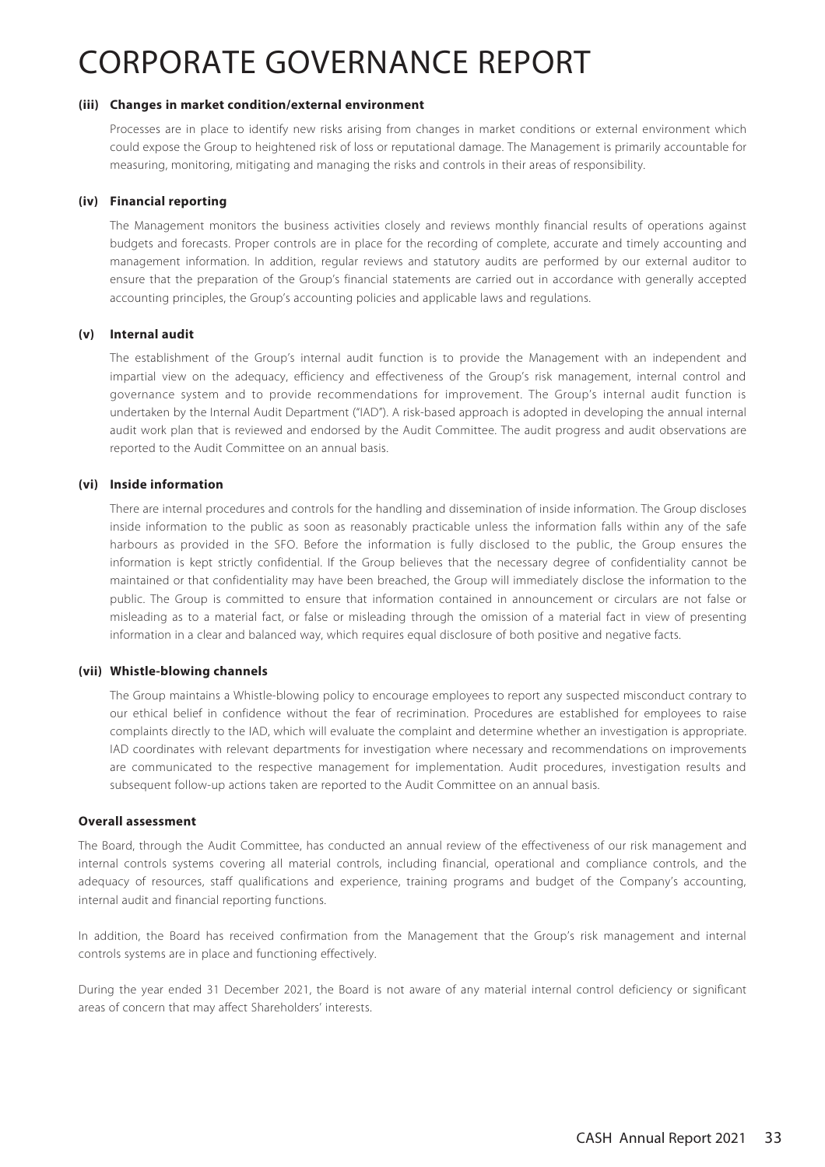#### **(iii) Changes in market condition/external environment**

Processes are in place to identify new risks arising from changes in market conditions or external environment which could expose the Group to heightened risk of loss or reputational damage. The Management is primarily accountable for measuring, monitoring, mitigating and managing the risks and controls in their areas of responsibility.

#### **(iv) Financial reporting**

The Management monitors the business activities closely and reviews monthly financial results of operations against budgets and forecasts. Proper controls are in place for the recording of complete, accurate and timely accounting and management information. In addition, regular reviews and statutory audits are performed by our external auditor to ensure that the preparation of the Group's financial statements are carried out in accordance with generally accepted accounting principles, the Group's accounting policies and applicable laws and regulations.

#### **(v) Internal audit**

The establishment of the Group's internal audit function is to provide the Management with an independent and impartial view on the adequacy, efficiency and effectiveness of the Group's risk management, internal control and governance system and to provide recommendations for improvement. The Group's internal audit function is undertaken by the Internal Audit Department ("IAD"). A risk-based approach is adopted in developing the annual internal audit work plan that is reviewed and endorsed by the Audit Committee. The audit progress and audit observations are reported to the Audit Committee on an annual basis.

#### **(vi) Inside information**

There are internal procedures and controls for the handling and dissemination of inside information. The Group discloses inside information to the public as soon as reasonably practicable unless the information falls within any of the safe harbours as provided in the SFO. Before the information is fully disclosed to the public, the Group ensures the information is kept strictly confidential. If the Group believes that the necessary degree of confidentiality cannot be maintained or that confidentiality may have been breached, the Group will immediately disclose the information to the public. The Group is committed to ensure that information contained in announcement or circulars are not false or misleading as to a material fact, or false or misleading through the omission of a material fact in view of presenting information in a clear and balanced way, which requires equal disclosure of both positive and negative facts.

#### **(vii) Whistle-blowing channels**

The Group maintains a Whistle-blowing policy to encourage employees to report any suspected misconduct contrary to our ethical belief in confidence without the fear of recrimination. Procedures are established for employees to raise complaints directly to the IAD, which will evaluate the complaint and determine whether an investigation is appropriate. IAD coordinates with relevant departments for investigation where necessary and recommendations on improvements are communicated to the respective management for implementation. Audit procedures, investigation results and subsequent follow-up actions taken are reported to the Audit Committee on an annual basis.

#### **Overall assessment**

The Board, through the Audit Committee, has conducted an annual review of the effectiveness of our risk management and internal controls systems covering all material controls, including financial, operational and compliance controls, and the adequacy of resources, staff qualifications and experience, training programs and budget of the Company's accounting, internal audit and financial reporting functions.

In addition, the Board has received confirmation from the Management that the Group's risk management and internal controls systems are in place and functioning effectively.

During the year ended 31 December 2021, the Board is not aware of any material internal control deficiency or significant areas of concern that may affect Shareholders' interests.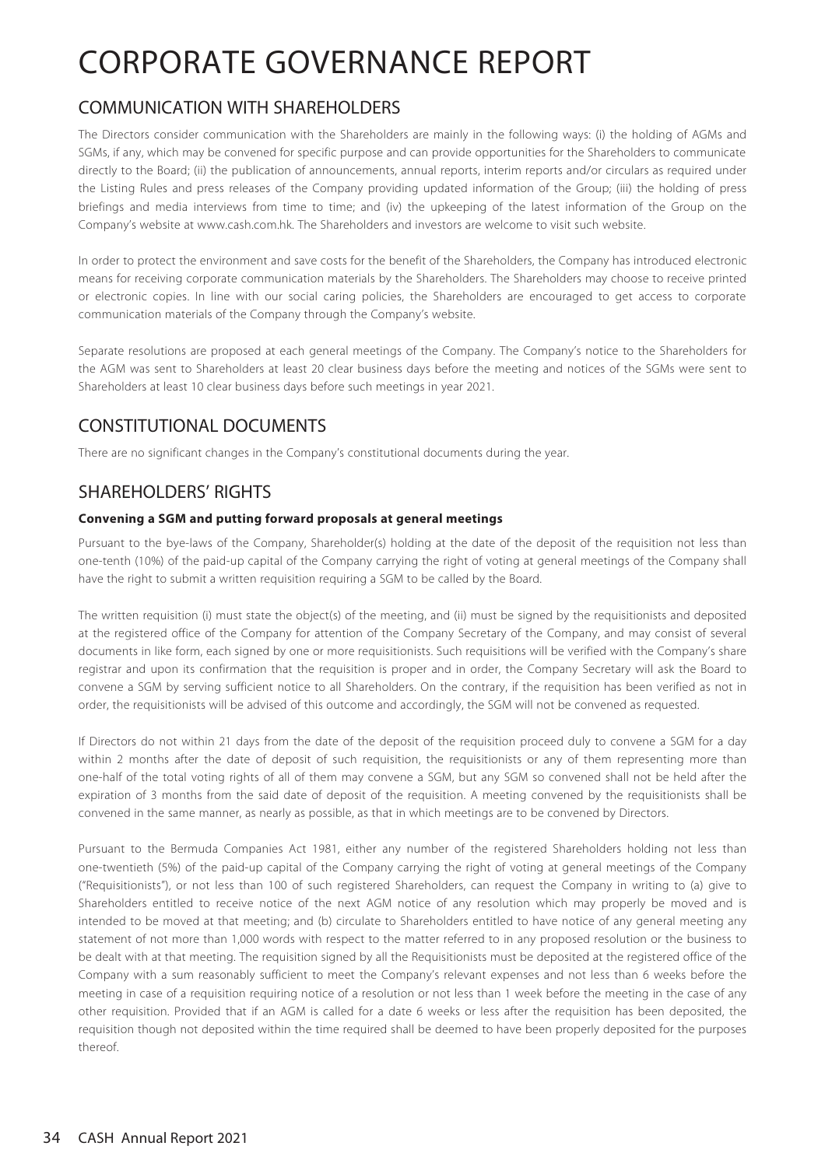## COMMUNICATION WITH SHAREHOLDERS

The Directors consider communication with the Shareholders are mainly in the following ways: (i) the holding of AGMs and SGMs, if any, which may be convened for specific purpose and can provide opportunities for the Shareholders to communicate directly to the Board; (ii) the publication of announcements, annual reports, interim reports and/or circulars as required under the Listing Rules and press releases of the Company providing updated information of the Group; (iii) the holding of press briefings and media interviews from time to time; and (iv) the upkeeping of the latest information of the Group on the Company's website at www.cash.com.hk. The Shareholders and investors are welcome to visit such website.

In order to protect the environment and save costs for the benefit of the Shareholders, the Company has introduced electronic means for receiving corporate communication materials by the Shareholders. The Shareholders may choose to receive printed or electronic copies. In line with our social caring policies, the Shareholders are encouraged to get access to corporate communication materials of the Company through the Company's website.

Separate resolutions are proposed at each general meetings of the Company. The Company's notice to the Shareholders for the AGM was sent to Shareholders at least 20 clear business days before the meeting and notices of the SGMs were sent to Shareholders at least 10 clear business days before such meetings in year 2021.

## CONSTITUTIONAL DOCUMENTS

There are no significant changes in the Company's constitutional documents during the year.

## SHAREHOLDERS' RIGHTS

### **Convening a SGM and putting forward proposals at general meetings**

Pursuant to the bye-laws of the Company, Shareholder(s) holding at the date of the deposit of the requisition not less than one-tenth (10%) of the paid-up capital of the Company carrying the right of voting at general meetings of the Company shall have the right to submit a written requisition requiring a SGM to be called by the Board.

The written requisition (i) must state the object(s) of the meeting, and (ii) must be signed by the requisitionists and deposited at the registered office of the Company for attention of the Company Secretary of the Company, and may consist of several documents in like form, each signed by one or more requisitionists. Such requisitions will be verified with the Company's share registrar and upon its confirmation that the requisition is proper and in order, the Company Secretary will ask the Board to convene a SGM by serving sufficient notice to all Shareholders. On the contrary, if the requisition has been verified as not in order, the requisitionists will be advised of this outcome and accordingly, the SGM will not be convened as requested.

If Directors do not within 21 days from the date of the deposit of the requisition proceed duly to convene a SGM for a day within 2 months after the date of deposit of such requisition, the requisitionists or any of them representing more than one-half of the total voting rights of all of them may convene a SGM, but any SGM so convened shall not be held after the expiration of 3 months from the said date of deposit of the requisition. A meeting convened by the requisitionists shall be convened in the same manner, as nearly as possible, as that in which meetings are to be convened by Directors.

Pursuant to the Bermuda Companies Act 1981, either any number of the registered Shareholders holding not less than one-twentieth (5%) of the paid-up capital of the Company carrying the right of voting at general meetings of the Company ("Requisitionists"), or not less than 100 of such registered Shareholders, can request the Company in writing to (a) give to Shareholders entitled to receive notice of the next AGM notice of any resolution which may properly be moved and is intended to be moved at that meeting; and (b) circulate to Shareholders entitled to have notice of any general meeting any statement of not more than 1,000 words with respect to the matter referred to in any proposed resolution or the business to be dealt with at that meeting. The requisition signed by all the Requisitionists must be deposited at the registered office of the Company with a sum reasonably sufficient to meet the Company's relevant expenses and not less than 6 weeks before the meeting in case of a requisition requiring notice of a resolution or not less than 1 week before the meeting in the case of any other requisition. Provided that if an AGM is called for a date 6 weeks or less after the requisition has been deposited, the requisition though not deposited within the time required shall be deemed to have been properly deposited for the purposes thereof.